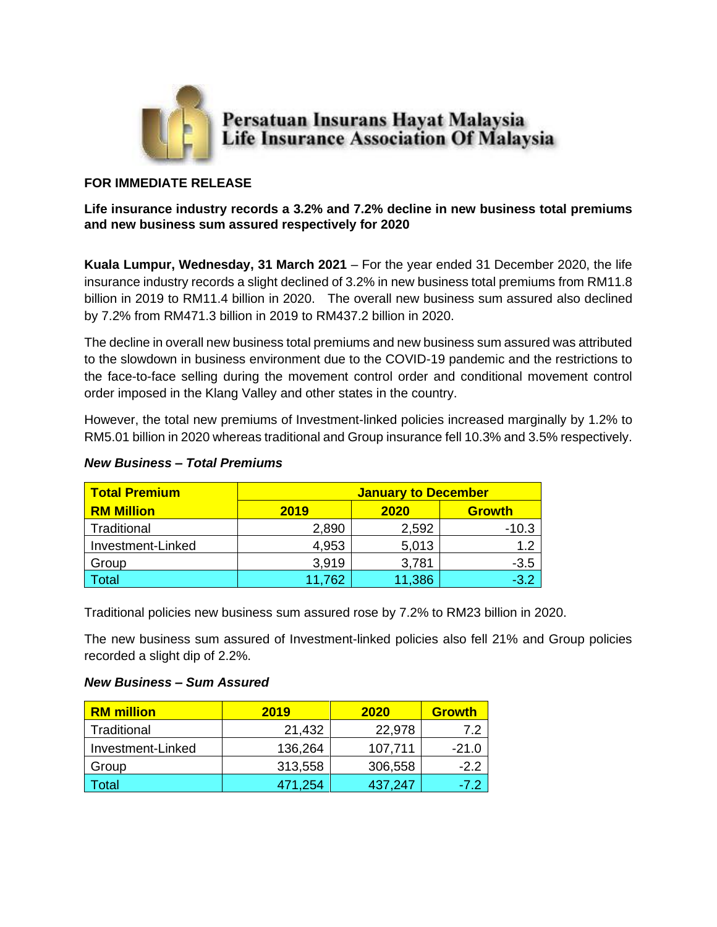

# **FOR IMMEDIATE RELEASE**

## **Life insurance industry records a 3.2% and 7.2% decline in new business total premiums and new business sum assured respectively for 2020**

**Kuala Lumpur, Wednesday, 31 March 2021** – For the year ended 31 December 2020, the life insurance industry records a slight declined of 3.2% in new business total premiums from RM11.8 billion in 2019 to RM11.4 billion in 2020. The overall new business sum assured also declined by 7.2% from RM471.3 billion in 2019 to RM437.2 billion in 2020.

The decline in overall new business total premiums and new business sum assured was attributed to the slowdown in business environment due to the COVID-19 pandemic and the restrictions to the face-to-face selling during the movement control order and conditional movement control order imposed in the Klang Valley and other states in the country.

However, the total new premiums of Investment-linked policies increased marginally by 1.2% to RM5.01 billion in 2020 whereas traditional and Group insurance fell 10.3% and 3.5% respectively.

| <b>Total Premium</b> | <b>January to December</b> |        |               |
|----------------------|----------------------------|--------|---------------|
| <b>RM Million</b>    | 2019                       | 2020   | <b>Growth</b> |
| Traditional          | 2,890                      | 2,592  | $-10.3$       |
| Investment-Linked    | 4,953                      | 5,013  | 1.2           |
| Group                | 3,919                      | 3,781  | $-3.5$        |
| Гоtal                | 11,762                     | 11,386 | $-3.2$        |

#### *New Business – Total Premiums*

Traditional policies new business sum assured rose by 7.2% to RM23 billion in 2020.

The new business sum assured of Investment-linked policies also fell 21% and Group policies recorded a slight dip of 2.2%.

#### *New Business – Sum Assured*

| <b>RM</b> million | 2019    | 2020    | <b>Growth</b> |
|-------------------|---------|---------|---------------|
| Traditional       | 21,432  | 22,978  | 7.2           |
| Investment-Linked | 136,264 | 107,711 | $-21.0$       |
| Group             | 313,558 | 306,558 | $-2.2$        |
| Total             | 471,254 | 437,247 | $-7.2$        |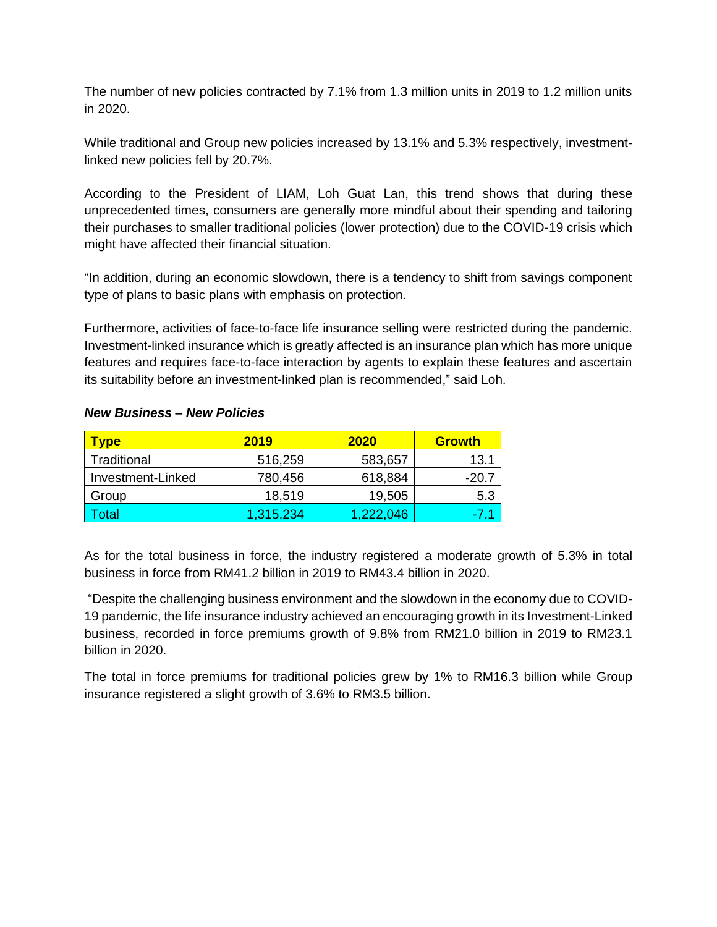The number of new policies contracted by 7.1% from 1.3 million units in 2019 to 1.2 million units in 2020.

While traditional and Group new policies increased by 13.1% and 5.3% respectively, investmentlinked new policies fell by 20.7%.

According to the President of LIAM, Loh Guat Lan, this trend shows that during these unprecedented times, consumers are generally more mindful about their spending and tailoring their purchases to smaller traditional policies (lower protection) due to the COVID-19 crisis which might have affected their financial situation.

"In addition, during an economic slowdown, there is a tendency to shift from savings component type of plans to basic plans with emphasis on protection.

Furthermore, activities of face-to-face life insurance selling were restricted during the pandemic. Investment-linked insurance which is greatly affected is an insurance plan which has more unique features and requires face-to-face interaction by agents to explain these features and ascertain its suitability before an investment-linked plan is recommended," said Loh.

| <b>Vpe</b>        | 2019      | <b>2020</b> | <b>Growth</b> |
|-------------------|-----------|-------------|---------------|
| Traditional       | 516,259   | 583,657     | 13.1          |
| Investment-Linked | 780,456   | 618,884     | -20.7         |
| Group             | 18,519    | 19,505      | 5.3           |
| 'otal             | 1,315,234 | 1.222.046   | -7.1          |

# *New Business – New Policies*

As for the total business in force, the industry registered a moderate growth of 5.3% in total business in force from RM41.2 billion in 2019 to RM43.4 billion in 2020.

"Despite the challenging business environment and the slowdown in the economy due to COVID-19 pandemic, the life insurance industry achieved an encouraging growth in its Investment-Linked business, recorded in force premiums growth of 9.8% from RM21.0 billion in 2019 to RM23.1 billion in 2020.

The total in force premiums for traditional policies grew by 1% to RM16.3 billion while Group insurance registered a slight growth of 3.6% to RM3.5 billion.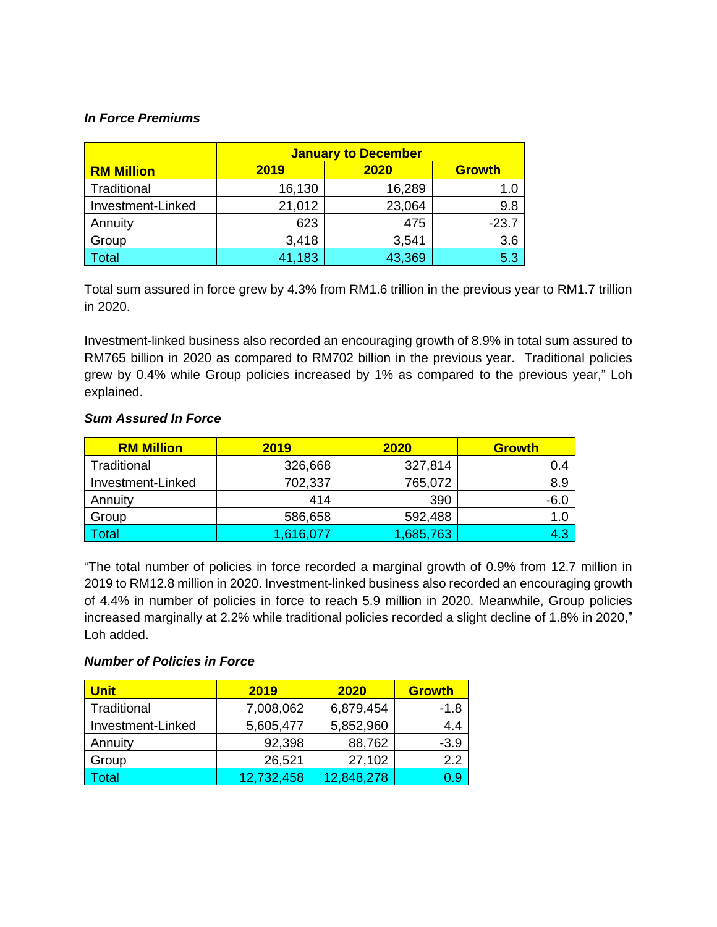## *In Force Premiums*

|                   | <b>January to December</b> |        |               |
|-------------------|----------------------------|--------|---------------|
| <b>RM Million</b> | 2019                       | 2020   | <b>Growth</b> |
| Traditional       | 16,130                     | 16,289 | 1.0           |
| Investment-Linked | 21,012                     | 23,064 | 9.8           |
| Annuity           | 623                        | 475    | $-23.7$       |
| Group             | 3,418                      | 3,541  | 3.6           |
| Total             | 41,183                     | 43,369 | 5.3           |

Total sum assured in force grew by 4.3% from RM1.6 trillion in the previous year to RM1.7 trillion in 2020.

Investment-linked business also recorded an encouraging growth of 8.9% in total sum assured to RM765 billion in 2020 as compared to RM702 billion in the previous year. Traditional policies grew by 0.4% while Group policies increased by 1% as compared to the previous year," Loh explained.

# *Sum Assured In Force*

| <b>RM Million</b> | 2019      | 2020      | <b>Growth</b> |
|-------------------|-----------|-----------|---------------|
| Traditional       | 326,668   | 327,814   | 0.4           |
| Investment-Linked | 702,337   | 765,072   | 8.9           |
| Annuity           | 414       | 390       | $-6.0$        |
| Group             | 586,658   | 592,488   | 1.0           |
| <b>Total</b>      | 1,616,077 | 1,685,763 | 4.3           |

"The total number of policies in force recorded a marginal growth of 0.9% from 12.7 million in 2019 to RM12.8 million in 2020. Investment-linked business also recorded an encouraging growth of 4.4% in number of policies in force to reach 5.9 million in 2020. Meanwhile, Group policies increased marginally at 2.2% while traditional policies recorded a slight decline of 1.8% in 2020," Loh added.

#### *Number of Policies in Force*

| <b>Unit</b>       | 2019       | 2020       | <b>Growth</b> |
|-------------------|------------|------------|---------------|
| Traditional       | 7,008,062  | 6,879,454  | -1.8          |
| Investment-Linked | 5,605,477  | 5,852,960  | 4.4           |
| Annuity           | 92,398     | 88,762     | $-3.9$        |
| Group             | 26,521     | 27,102     | 2.2           |
| 'otal             | 12,732,458 | 12,848,278 | 0.9           |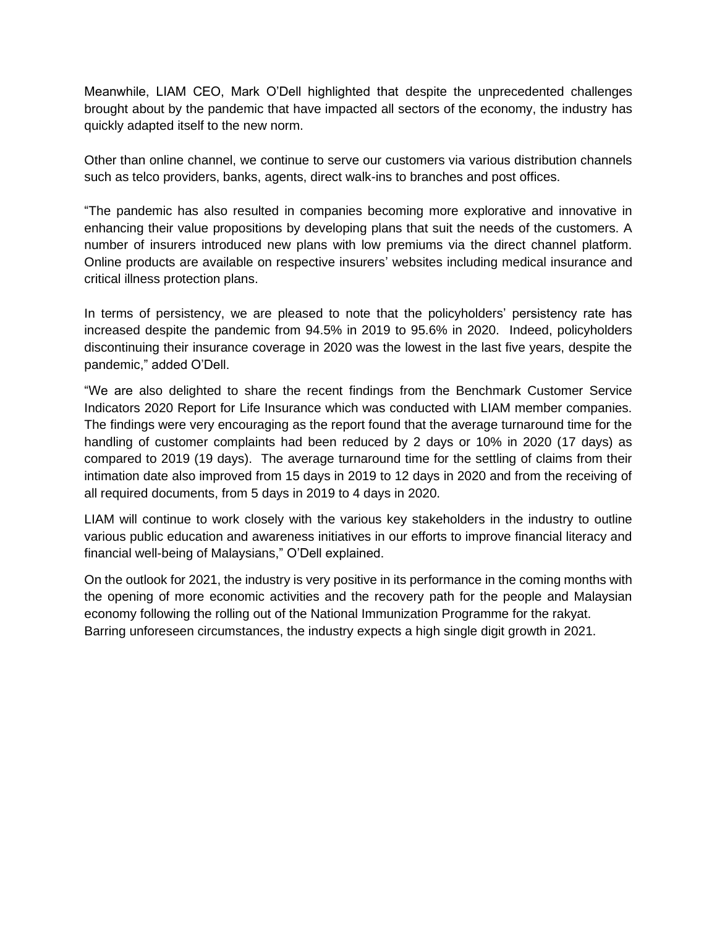Meanwhile, LIAM CEO, Mark O'Dell highlighted that despite the unprecedented challenges brought about by the pandemic that have impacted all sectors of the economy, the industry has quickly adapted itself to the new norm.

Other than online channel, we continue to serve our customers via various distribution channels such as telco providers, banks, agents, direct walk-ins to branches and post offices.

"The pandemic has also resulted in companies becoming more explorative and innovative in enhancing their value propositions by developing plans that suit the needs of the customers. A number of insurers introduced new plans with low premiums via the direct channel platform. Online products are available on respective insurers' websites including medical insurance and critical illness protection plans.

In terms of persistency, we are pleased to note that the policyholders' persistency rate has increased despite the pandemic from 94.5% in 2019 to 95.6% in 2020. Indeed, policyholders discontinuing their insurance coverage in 2020 was the lowest in the last five years, despite the pandemic," added O'Dell.

"We are also delighted to share the recent findings from the Benchmark Customer Service Indicators 2020 Report for Life Insurance which was conducted with LIAM member companies. The findings were very encouraging as the report found that the average turnaround time for the handling of customer complaints had been reduced by 2 days or 10% in 2020 (17 days) as compared to 2019 (19 days). The average turnaround time for the settling of claims from their intimation date also improved from 15 days in 2019 to 12 days in 2020 and from the receiving of all required documents, from 5 days in 2019 to 4 days in 2020.

LIAM will continue to work closely with the various key stakeholders in the industry to outline various public education and awareness initiatives in our efforts to improve financial literacy and financial well-being of Malaysians," O'Dell explained.

On the outlook for 2021, the industry is very positive in its performance in the coming months with the opening of more economic activities and the recovery path for the people and Malaysian economy following the rolling out of the National Immunization Programme for the rakyat. Barring unforeseen circumstances, the industry expects a high single digit growth in 2021.